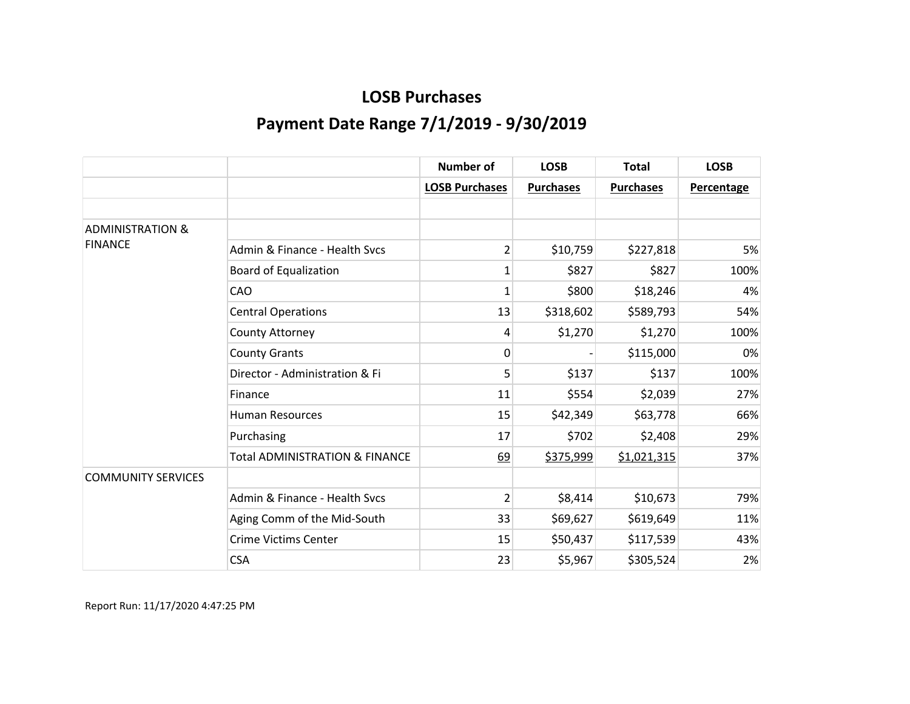|                             |                                           | <b>Number of</b>      | <b>LOSB</b>      | <b>Total</b>     | <b>LOSB</b>       |
|-----------------------------|-------------------------------------------|-----------------------|------------------|------------------|-------------------|
|                             |                                           | <b>LOSB Purchases</b> | <b>Purchases</b> | <b>Purchases</b> | <b>Percentage</b> |
|                             |                                           |                       |                  |                  |                   |
| <b>ADMINISTRATION &amp;</b> |                                           |                       |                  |                  |                   |
| <b>FINANCE</b>              | Admin & Finance - Health Sycs             | $\overline{2}$        | \$10,759         | \$227,818        | 5%                |
|                             | <b>Board of Equalization</b>              | 1                     | \$827            | \$827            | 100%              |
|                             | CAO                                       | 1                     | \$800            | \$18,246         | 4%                |
|                             | <b>Central Operations</b>                 | 13                    | \$318,602        | \$589,793        | 54%               |
|                             | County Attorney                           | 4                     | \$1,270          | \$1,270          | 100%              |
|                             | <b>County Grants</b>                      | 0                     |                  | \$115,000        | 0%                |
|                             | Director - Administration & Fi            | 5                     | \$137            | \$137            | 100%              |
|                             | Finance                                   | 11                    | \$554            | \$2,039          | 27%               |
|                             | <b>Human Resources</b>                    | 15                    | \$42,349         | \$63,778         | 66%               |
|                             | Purchasing                                | 17                    | \$702            | \$2,408          | 29%               |
|                             | <b>Total ADMINISTRATION &amp; FINANCE</b> | 69                    | \$375,999        | \$1,021,315      | 37%               |
| <b>COMMUNITY SERVICES</b>   |                                           |                       |                  |                  |                   |
|                             | Admin & Finance - Health Svcs             | 2                     | \$8,414          | \$10,673         | 79%               |
|                             | Aging Comm of the Mid-South               | 33                    | \$69,627         | \$619,649        | 11%               |
|                             | <b>Crime Victims Center</b>               | 15                    | \$50,437         | \$117,539        | 43%               |
|                             | <b>CSA</b>                                | 23                    | \$5,967          | \$305,524        | 2%                |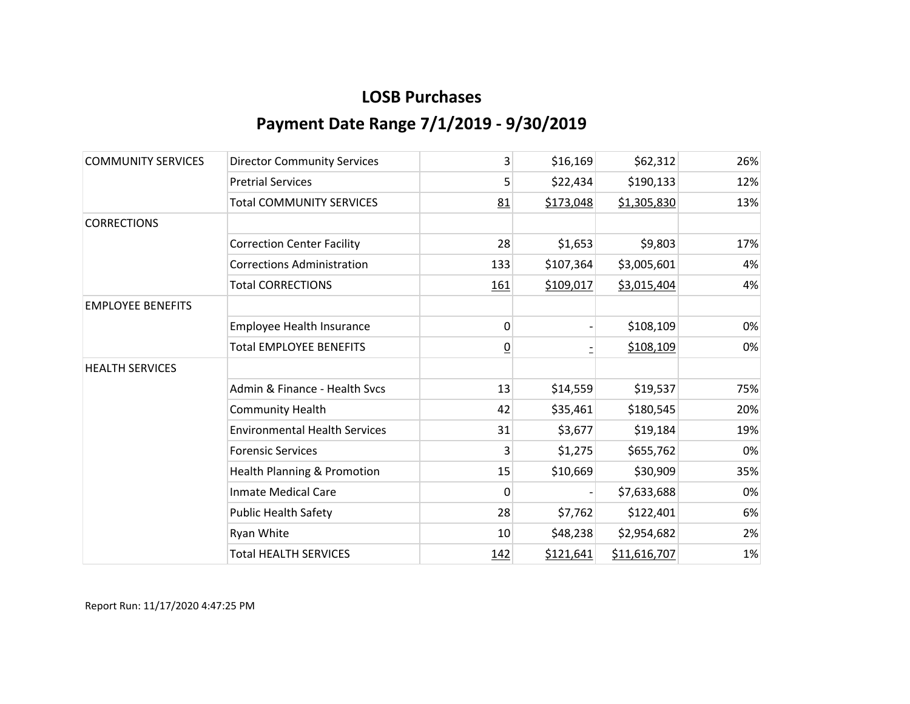| <b>COMMUNITY SERVICES</b> | <b>Director Community Services</b>   | 3               | \$16,169  | \$62,312     | 26% |
|---------------------------|--------------------------------------|-----------------|-----------|--------------|-----|
|                           | <b>Pretrial Services</b>             | 5               | \$22,434  | \$190,133    | 12% |
|                           | <b>Total COMMUNITY SERVICES</b>      | 81              | \$173,048 | \$1,305,830  | 13% |
| <b>CORRECTIONS</b>        |                                      |                 |           |              |     |
|                           | <b>Correction Center Facility</b>    | 28              | \$1,653   | \$9,803      | 17% |
|                           | <b>Corrections Administration</b>    | 133             | \$107,364 | \$3,005,601  | 4%  |
|                           | <b>Total CORRECTIONS</b>             | 161             | \$109,017 | \$3,015,404  | 4%  |
| <b>EMPLOYEE BENEFITS</b>  |                                      |                 |           |              |     |
|                           | Employee Health Insurance            | 0               |           | \$108,109    | 0%  |
|                           | <b>Total EMPLOYEE BENEFITS</b>       | $\underline{0}$ |           | \$108,109    | 0%  |
| <b>HEALTH SERVICES</b>    |                                      |                 |           |              |     |
|                           | Admin & Finance - Health Svcs        | 13              | \$14,559  | \$19,537     | 75% |
|                           | <b>Community Health</b>              | 42              | \$35,461  | \$180,545    | 20% |
|                           | <b>Environmental Health Services</b> | 31              | \$3,677   | \$19,184     | 19% |
|                           | <b>Forensic Services</b>             | 3               | \$1,275   | \$655,762    | 0%  |
|                           | Health Planning & Promotion          | 15              | \$10,669  | \$30,909     | 35% |
|                           | <b>Inmate Medical Care</b>           | 0               |           | \$7,633,688  | 0%  |
|                           | <b>Public Health Safety</b>          | 28              | \$7,762   | \$122,401    | 6%  |
|                           | Ryan White                           | 10              | \$48,238  | \$2,954,682  | 2%  |
|                           | <b>Total HEALTH SERVICES</b>         | <u>142</u>      | \$121,641 | \$11,616,707 | 1%  |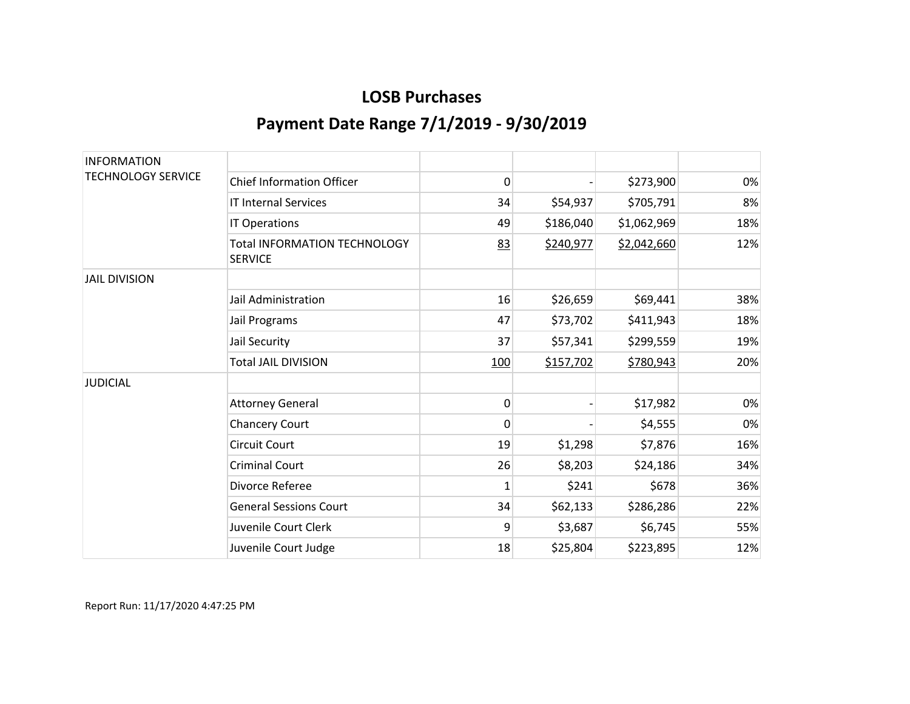| <b>INFORMATION</b>        |                                                |              |           |             |     |
|---------------------------|------------------------------------------------|--------------|-----------|-------------|-----|
| <b>TECHNOLOGY SERVICE</b> | <b>Chief Information Officer</b>               | 0            |           | \$273,900   | 0%  |
|                           | <b>IT Internal Services</b>                    | 34           | \$54,937  | \$705,791   | 8%  |
|                           | IT Operations                                  | 49           | \$186,040 | \$1,062,969 | 18% |
|                           | Total INFORMATION TECHNOLOGY<br><b>SERVICE</b> | 83           | \$240,977 | \$2,042,660 | 12% |
| <b>JAIL DIVISION</b>      |                                                |              |           |             |     |
|                           | Jail Administration                            | 16           | \$26,659  | \$69,441    | 38% |
|                           | Jail Programs                                  | 47           | \$73,702  | \$411,943   | 18% |
|                           | Jail Security                                  | 37           | \$57,341  | \$299,559   | 19% |
|                           | <b>Total JAIL DIVISION</b>                     | 100          | \$157,702 | \$780,943   | 20% |
| <b>JUDICIAL</b>           |                                                |              |           |             |     |
|                           | <b>Attorney General</b>                        | 0            |           | \$17,982    | 0%  |
|                           | <b>Chancery Court</b>                          | $\mathbf{0}$ |           | \$4,555     | 0%  |
|                           | <b>Circuit Court</b>                           | 19           | \$1,298   | \$7,876     | 16% |
|                           | <b>Criminal Court</b>                          | 26           | \$8,203   | \$24,186    | 34% |
|                           | Divorce Referee                                | 1            | \$241     | \$678       | 36% |
|                           | <b>General Sessions Court</b>                  | 34           | \$62,133  | \$286,286   | 22% |
|                           | Juvenile Court Clerk                           | 9            | \$3,687   | \$6,745     | 55% |
|                           | Juvenile Court Judge                           | 18           | \$25,804  | \$223,895   | 12% |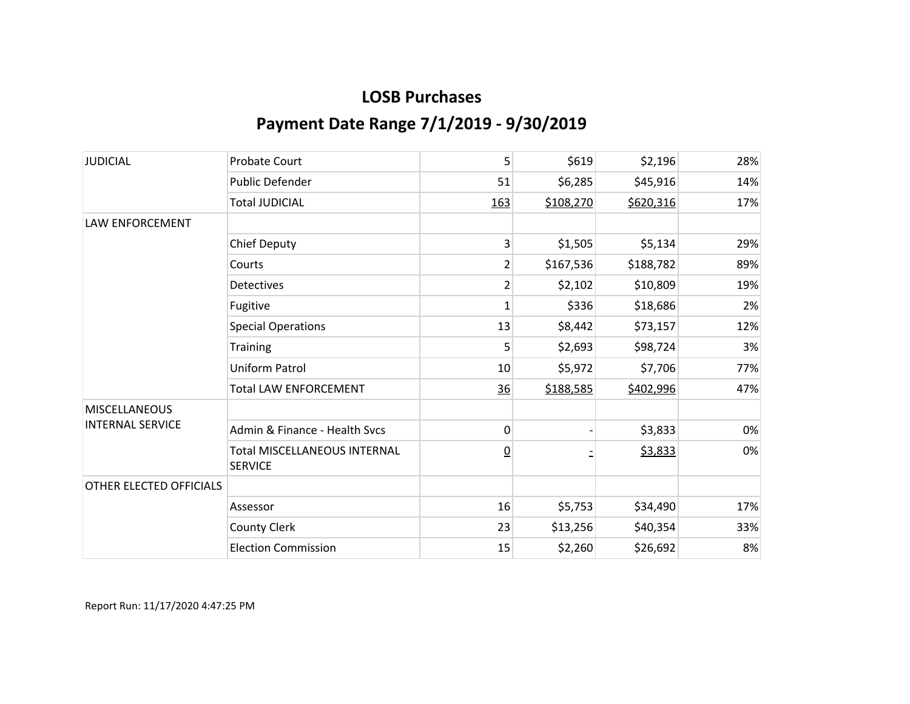| <b>JUDICIAL</b>         | <b>Probate Court</b>                                  | 5               | \$619     | \$2,196   | 28% |
|-------------------------|-------------------------------------------------------|-----------------|-----------|-----------|-----|
|                         | Public Defender                                       | 51              | \$6,285   | \$45,916  | 14% |
|                         | <b>Total JUDICIAL</b>                                 | 163             | \$108,270 | \$620,316 | 17% |
| LAW ENFORCEMENT         |                                                       |                 |           |           |     |
|                         | <b>Chief Deputy</b>                                   | 3               | \$1,505   | \$5,134   | 29% |
|                         | Courts                                                | $\overline{2}$  | \$167,536 | \$188,782 | 89% |
|                         | <b>Detectives</b>                                     | 2               | \$2,102   | \$10,809  | 19% |
|                         | Fugitive                                              | 1               | \$336     | \$18,686  | 2%  |
|                         | <b>Special Operations</b>                             | 13              | \$8,442   | \$73,157  | 12% |
|                         | <b>Training</b>                                       | 5               | \$2,693   | \$98,724  | 3%  |
|                         | Uniform Patrol                                        | 10              | \$5,972   | \$7,706   | 77% |
|                         | <b>Total LAW ENFORCEMENT</b>                          | 36              | \$188,585 | \$402,996 | 47% |
| <b>MISCELLANEOUS</b>    |                                                       |                 |           |           |     |
| <b>INTERNAL SERVICE</b> | Admin & Finance - Health Svcs                         | 0               |           | \$3,833   | 0%  |
|                         | <b>Total MISCELLANEOUS INTERNAL</b><br><b>SERVICE</b> | $\underline{0}$ |           | \$3,833   | 0%  |
| OTHER ELECTED OFFICIALS |                                                       |                 |           |           |     |
|                         | Assessor                                              | 16              | \$5,753   | \$34,490  | 17% |
|                         | <b>County Clerk</b>                                   | 23              | \$13,256  | \$40,354  | 33% |
|                         | <b>Election Commission</b>                            | 15              | \$2,260   | \$26,692  | 8%  |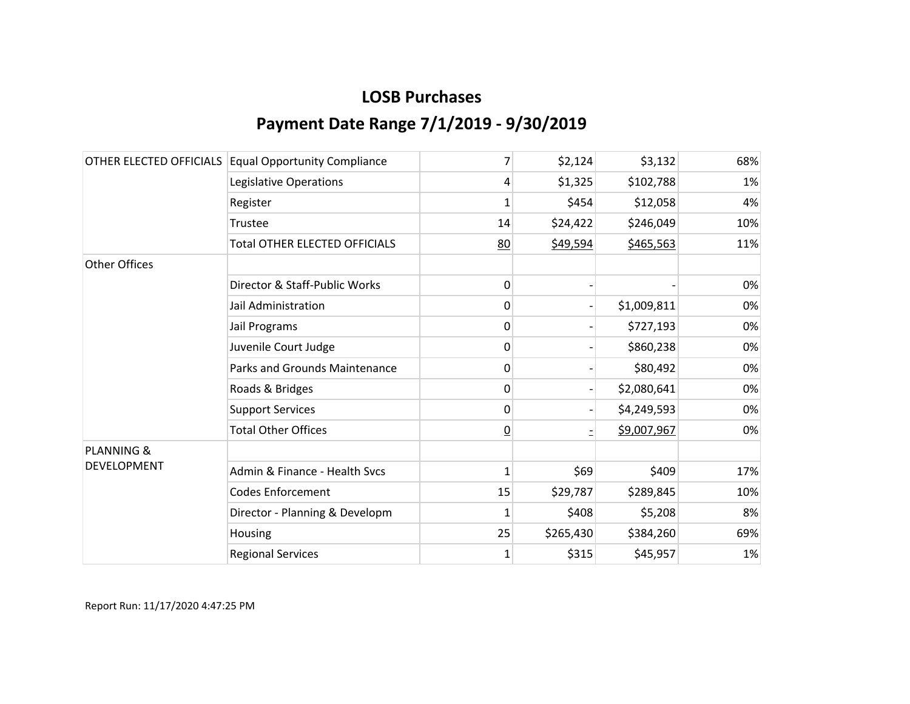|                       | OTHER ELECTED OFFICIALS Equal Opportunity Compliance | 7              | \$2,124   | \$3,132     | 68% |
|-----------------------|------------------------------------------------------|----------------|-----------|-------------|-----|
|                       | Legislative Operations                               | 4              | \$1,325   | \$102,788   | 1%  |
|                       | Register                                             | $\mathbf{1}$   | \$454     | \$12,058    | 4%  |
|                       | Trustee                                              | 14             | \$24,422  | \$246,049   | 10% |
|                       | <b>Total OTHER ELECTED OFFICIALS</b>                 | 80             | \$49,594  | \$465,563   | 11% |
| <b>Other Offices</b>  |                                                      |                |           |             |     |
|                       | Director & Staff-Public Works                        | 0              |           |             | 0%  |
|                       | Jail Administration                                  | 0              |           | \$1,009,811 | 0%  |
|                       | Jail Programs                                        | 0              |           | \$727,193   | 0%  |
|                       | Juvenile Court Judge                                 | 0              |           | \$860,238   | 0%  |
|                       | Parks and Grounds Maintenance                        | 0              |           | \$80,492    | 0%  |
|                       | Roads & Bridges                                      | 0              |           | \$2,080,641 | 0%  |
|                       | <b>Support Services</b>                              | 0              |           | \$4,249,593 | 0%  |
|                       | <b>Total Other Offices</b>                           | $\overline{0}$ |           | \$9,007,967 | 0%  |
| <b>PLANNING &amp;</b> |                                                      |                |           |             |     |
| DEVELOPMENT           | Admin & Finance - Health Svcs                        | $\mathbf{1}$   | \$69      | \$409       | 17% |
|                       | <b>Codes Enforcement</b>                             | 15             | \$29,787  | \$289,845   | 10% |
|                       | Director - Planning & Developm                       | 1              | \$408     | \$5,208     | 8%  |
|                       | Housing                                              | 25             | \$265,430 | \$384,260   | 69% |
|                       | <b>Regional Services</b>                             | $\mathbf 1$    | \$315     | \$45,957    | 1%  |